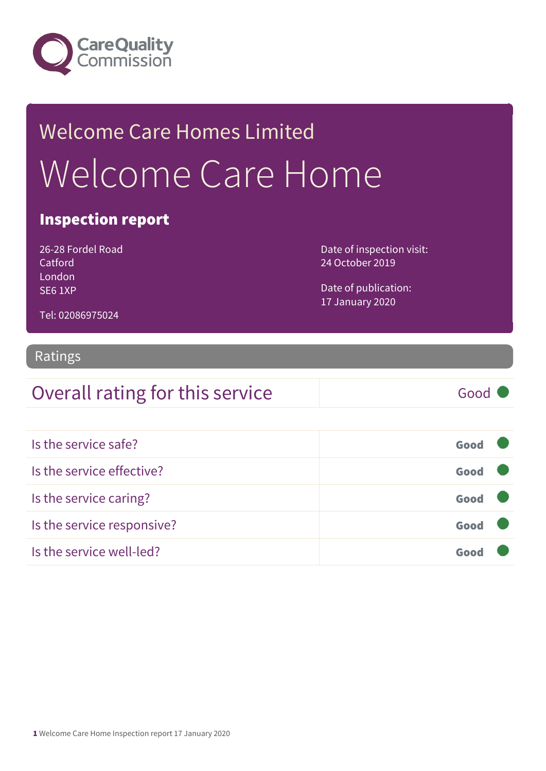

# Welcome Care Homes Limited Welcome Care Home

### Inspection report

26-28 Fordel Road Catford London SE6 1XP

Date of inspection visit: 24 October 2019

Date of publication: 17 January 2020

#### Tel: 02086975024

#### Ratings

### Overall rating for this service Good

| Is the service safe?       | Good |  |
|----------------------------|------|--|
| Is the service effective?  | Good |  |
| Is the service caring?     | Good |  |
| Is the service responsive? | Good |  |
| Is the service well-led?   |      |  |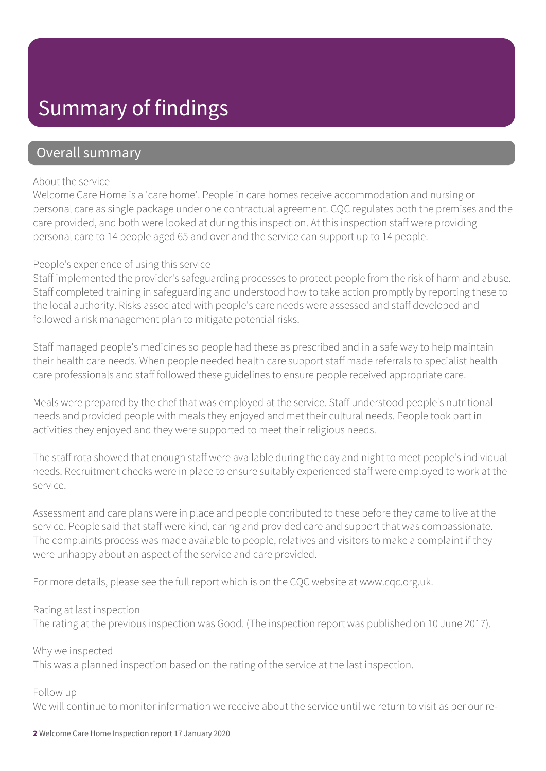### Summary of findings

### Overall summary

#### About the service

Welcome Care Home is a 'care home'. People in care homes receive accommodation and nursing or personal care as single package under one contractual agreement. CQC regulates both the premises and the care provided, and both were looked at during this inspection. At this inspection staff were providing personal care to 14 people aged 65 and over and the service can support up to 14 people.

#### People's experience of using this service

Staff implemented the provider's safeguarding processes to protect people from the risk of harm and abuse. Staff completed training in safeguarding and understood how to take action promptly by reporting these to the local authority. Risks associated with people's care needs were assessed and staff developed and followed a risk management plan to mitigate potential risks.

Staff managed people's medicines so people had these as prescribed and in a safe way to help maintain their health care needs. When people needed health care support staff made referrals to specialist health care professionals and staff followed these guidelines to ensure people received appropriate care.

Meals were prepared by the chef that was employed at the service. Staff understood people's nutritional needs and provided people with meals they enjoyed and met their cultural needs. People took part in activities they enjoyed and they were supported to meet their religious needs.

The staff rota showed that enough staff were available during the day and night to meet people's individual needs. Recruitment checks were in place to ensure suitably experienced staff were employed to work at the service.

Assessment and care plans were in place and people contributed to these before they came to live at the service. People said that staff were kind, caring and provided care and support that was compassionate. The complaints process was made available to people, relatives and visitors to make a complaint if they were unhappy about an aspect of the service and care provided.

For more details, please see the full report which is on the CQC website at www.cqc.org.uk.

#### Rating at last inspection

The rating at the previous inspection was Good. (The inspection report was published on 10 June 2017).

Why we inspected

This was a planned inspection based on the rating of the service at the last inspection.

#### Follow up

We will continue to monitor information we receive about the service until we return to visit as per our re-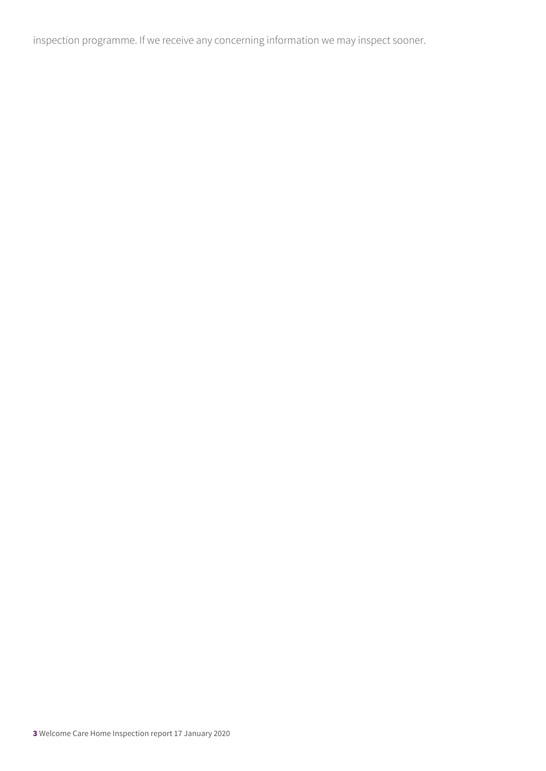inspection programme. If we receive any concerning information we may inspect sooner.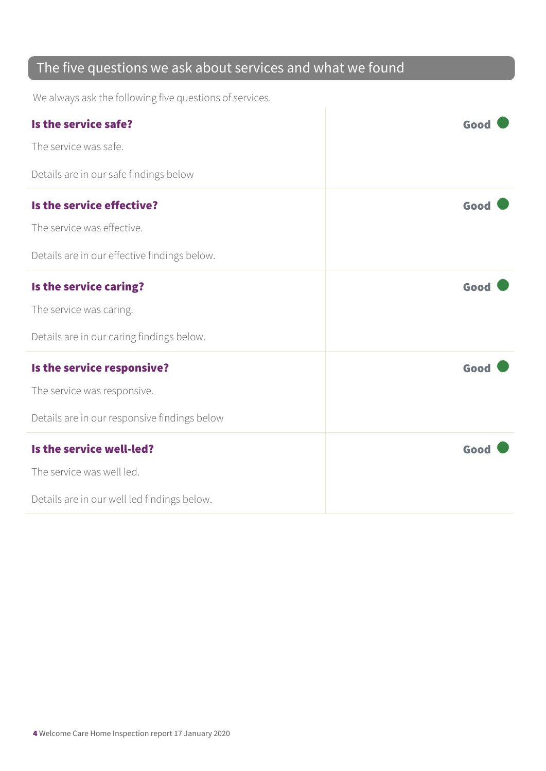### The five questions we ask about services and what we found

We always ask the following five questions of services.

| Is the service safe?                         | Good |
|----------------------------------------------|------|
| The service was safe.                        |      |
| Details are in our safe findings below       |      |
| Is the service effective?                    | Good |
| The service was effective.                   |      |
| Details are in our effective findings below. |      |
| Is the service caring?                       | Good |
| The service was caring.                      |      |
| Details are in our caring findings below.    |      |
| Is the service responsive?                   | Good |
| The service was responsive.                  |      |
| Details are in our responsive findings below |      |
| Is the service well-led?                     | Good |
| The service was well led.                    |      |
| Details are in our well led findings below.  |      |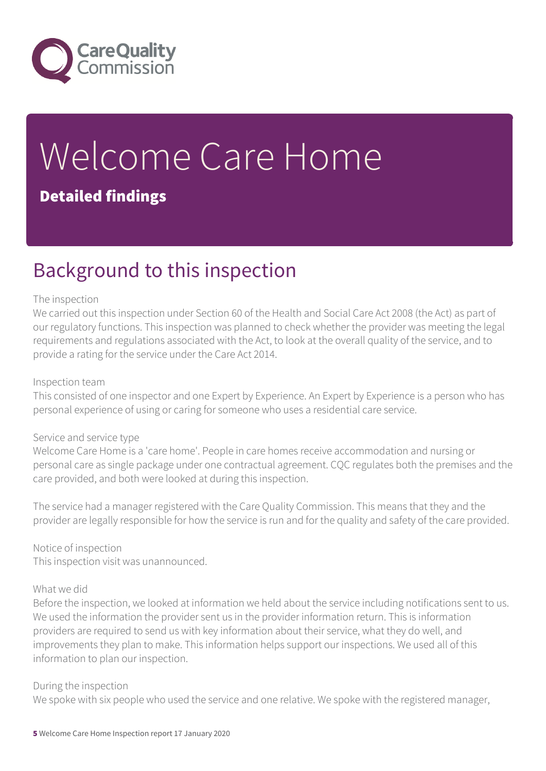

# Welcome Care Home Detailed findings

### Background to this inspection

#### The inspection

We carried out this inspection under Section 60 of the Health and Social Care Act 2008 (the Act) as part of our regulatory functions. This inspection was planned to check whether the provider was meeting the legal requirements and regulations associated with the Act, to look at the overall quality of the service, and to provide a rating for the service under the Care Act 2014.

#### Inspection team

This consisted of one inspector and one Expert by Experience. An Expert by Experience is a person who has personal experience of using or caring for someone who uses a residential care service.

#### Service and service type

Welcome Care Home is a 'care home'. People in care homes receive accommodation and nursing or personal care as single package under one contractual agreement. CQC regulates both the premises and the care provided, and both were looked at during this inspection.

The service had a manager registered with the Care Quality Commission. This means that they and the provider are legally responsible for how the service is run and for the quality and safety of the care provided.

Notice of inspection This inspection visit was unannounced.

#### What we did

Before the inspection, we looked at information we held about the service including notifications sent to us. We used the information the provider sent us in the provider information return. This is information providers are required to send us with key information about their service, what they do well, and improvements they plan to make. This information helps support our inspections. We used all of this information to plan our inspection.

#### During the inspection

We spoke with six people who used the service and one relative. We spoke with the registered manager,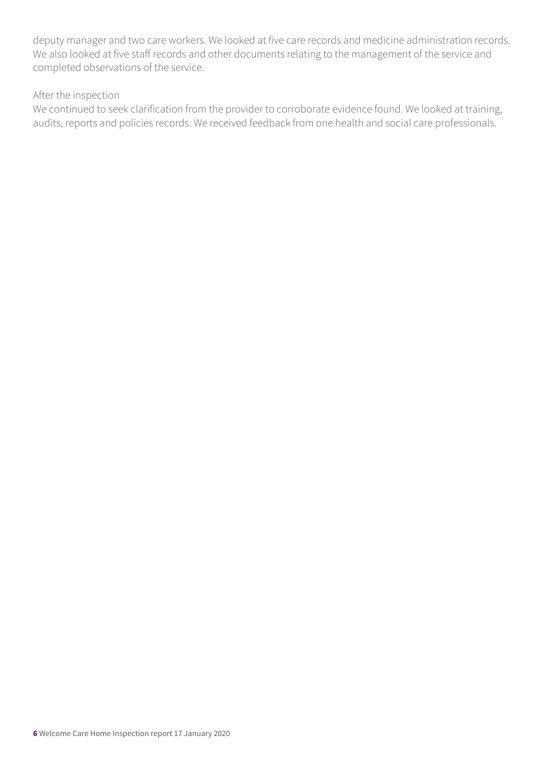deputy manager and two care workers. We looked at five care records and medicine administration records. We also looked at five staff records and other documents relating to the management of the service and completed observations of the service.

#### After the inspection

We continued to seek clarification from the provider to corroborate evidence found. We looked at training, audits, reports and policies records. We received feedback from one health and social care professionals.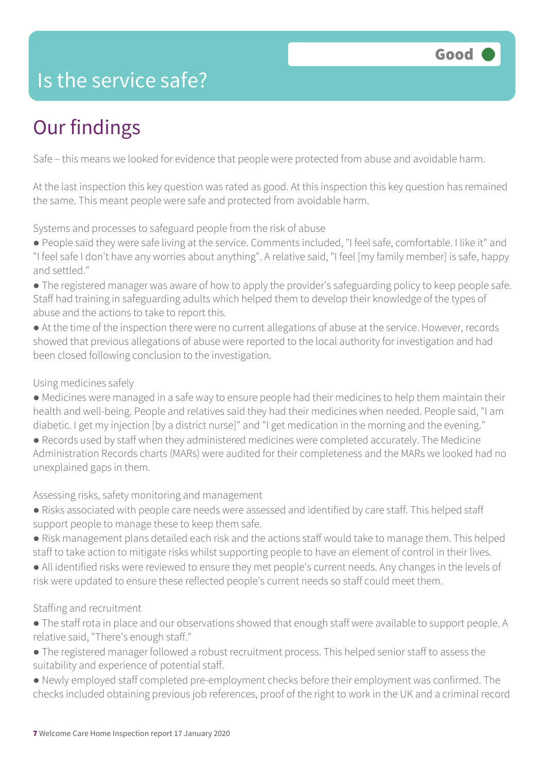### Is the service safe?

## Our findings

Safe – this means we looked for evidence that people were protected from abuse and avoidable harm.

At the last inspection this key question was rated as good. At this inspection this key question has remained the same. This meant people were safe and protected from avoidable harm.

Systems and processes to safeguard people from the risk of abuse

● People said they were safe living at the service. Comments included, "I feel safe, comfortable. I like it" and "I feel safe I don't have any worries about anything". A relative said, "I feel [my family member] is safe, happy and settled."

- The registered manager was aware of how to apply the provider's safeguarding policy to keep people safe. Staff had training in safeguarding adults which helped them to develop their knowledge of the types of abuse and the actions to take to report this.
- At the time of the inspection there were no current allegations of abuse at the service. However, records showed that previous allegations of abuse were reported to the local authority for investigation and had been closed following conclusion to the investigation.

#### Using medicines safely

- Medicines were managed in a safe way to ensure people had their medicines to help them maintain their health and well-being. People and relatives said they had their medicines when needed. People said, "I am diabetic. I get my injection [by a district nurse]" and "I get medication in the morning and the evening."
- Records used by staff when they administered medicines were completed accurately. The Medicine Administration Records charts (MARs) were audited for their completeness and the MARs we looked had no unexplained gaps in them.

Assessing risks, safety monitoring and management

- Risks associated with people care needs were assessed and identified by care staff. This helped staff support people to manage these to keep them safe.
- Risk management plans detailed each risk and the actions staff would take to manage them. This helped staff to take action to mitigate risks whilst supporting people to have an element of control in their lives.
- All identified risks were reviewed to ensure they met people's current needs. Any changes in the levels of risk were updated to ensure these reflected people's current needs so staff could meet them.

#### Staffing and recruitment

- The staff rota in place and our observations showed that enough staff were available to support people. A relative said, "There's enough staff."
- The registered manager followed a robust recruitment process. This helped senior staff to assess the suitability and experience of potential staff.
- Newly employed staff completed pre-employment checks before their employment was confirmed. The checks included obtaining previous job references, proof of the right to work in the UK and a criminal record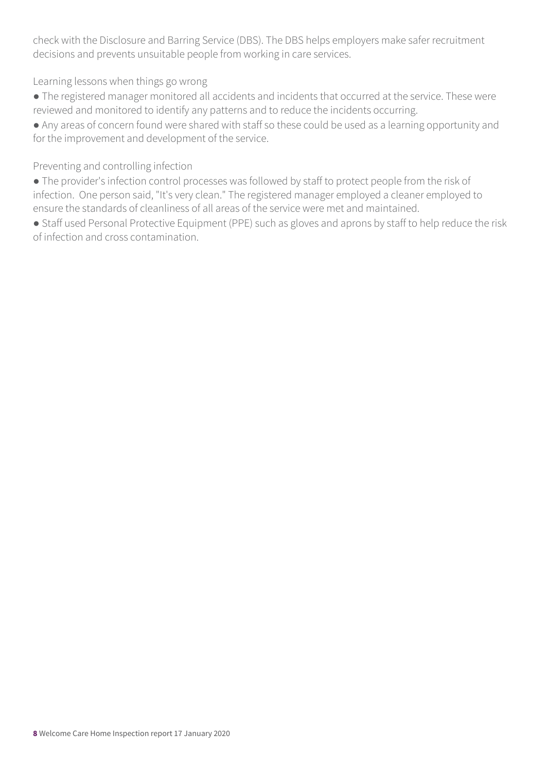check with the Disclosure and Barring Service (DBS). The DBS helps employers make safer recruitment decisions and prevents unsuitable people from working in care services.

Learning lessons when things go wrong

● The registered manager monitored all accidents and incidents that occurred at the service. These were reviewed and monitored to identify any patterns and to reduce the incidents occurring.

● Any areas of concern found were shared with staff so these could be used as a learning opportunity and for the improvement and development of the service.

Preventing and controlling infection

● The provider's infection control processes was followed by staff to protect people from the risk of infection. One person said, "It's very clean." The registered manager employed a cleaner employed to ensure the standards of cleanliness of all areas of the service were met and maintained.

● Staff used Personal Protective Equipment (PPE) such as gloves and aprons by staff to help reduce the risk of infection and cross contamination.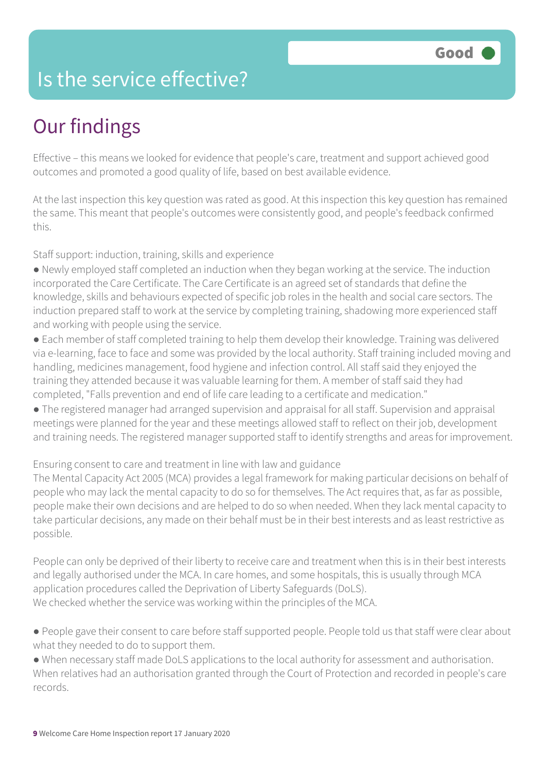### Is the service effective?

## Our findings

Effective – this means we looked for evidence that people's care, treatment and support achieved good outcomes and promoted a good quality of life, based on best available evidence.

At the last inspection this key question was rated as good. At this inspection this key question has remained the same. This meant that people's outcomes were consistently good, and people's feedback confirmed this.

Staff support: induction, training, skills and experience

- Newly employed staff completed an induction when they began working at the service. The induction incorporated the Care Certificate. The Care Certificate is an agreed set of standards that define the knowledge, skills and behaviours expected of specific job roles in the health and social care sectors. The induction prepared staff to work at the service by completing training, shadowing more experienced staff and working with people using the service.
- Each member of staff completed training to help them develop their knowledge. Training was delivered via e-learning, face to face and some was provided by the local authority. Staff training included moving and handling, medicines management, food hygiene and infection control. All staff said they enjoyed the training they attended because it was valuable learning for them. A member of staff said they had completed, "Falls prevention and end of life care leading to a certificate and medication."
- The registered manager had arranged supervision and appraisal for all staff. Supervision and appraisal meetings were planned for the year and these meetings allowed staff to reflect on their job, development and training needs. The registered manager supported staff to identify strengths and areas for improvement.

Ensuring consent to care and treatment in line with law and guidance

The Mental Capacity Act 2005 (MCA) provides a legal framework for making particular decisions on behalf of people who may lack the mental capacity to do so for themselves. The Act requires that, as far as possible, people make their own decisions and are helped to do so when needed. When they lack mental capacity to take particular decisions, any made on their behalf must be in their best interests and as least restrictive as possible.

People can only be deprived of their liberty to receive care and treatment when this is in their best interests and legally authorised under the MCA. In care homes, and some hospitals, this is usually through MCA application procedures called the Deprivation of Liberty Safeguards (DoLS). We checked whether the service was working within the principles of the MCA.

● People gave their consent to care before staff supported people. People told us that staff were clear about what they needed to do to support them.

● When necessary staff made DoLS applications to the local authority for assessment and authorisation. When relatives had an authorisation granted through the Court of Protection and recorded in people's care records.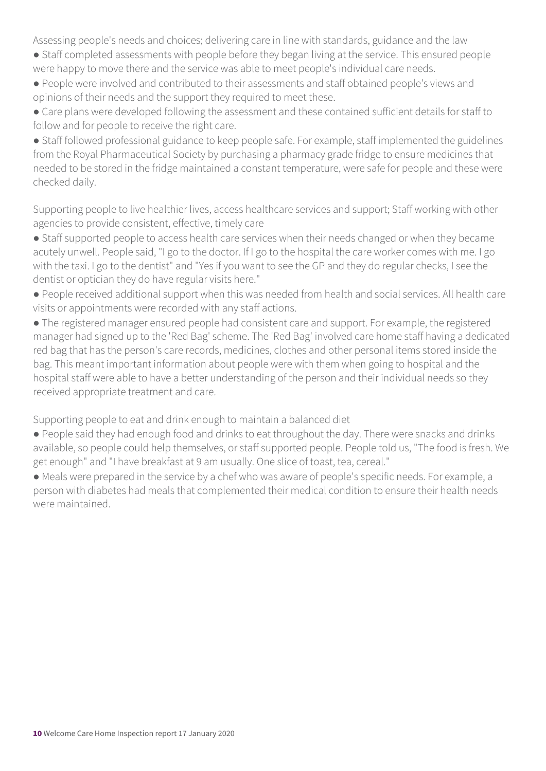Assessing people's needs and choices; delivering care in line with standards, guidance and the law

- Staff completed assessments with people before they began living at the service. This ensured people were happy to move there and the service was able to meet people's individual care needs.
- People were involved and contributed to their assessments and staff obtained people's views and opinions of their needs and the support they required to meet these.
- Care plans were developed following the assessment and these contained sufficient details for staff to follow and for people to receive the right care.

● Staff followed professional guidance to keep people safe. For example, staff implemented the guidelines from the Royal Pharmaceutical Society by purchasing a pharmacy grade fridge to ensure medicines that needed to be stored in the fridge maintained a constant temperature, were safe for people and these were checked daily.

Supporting people to live healthier lives, access healthcare services and support; Staff working with other agencies to provide consistent, effective, timely care

● Staff supported people to access health care services when their needs changed or when they became acutely unwell. People said, "I go to the doctor. If I go to the hospital the care worker comes with me. I go with the taxi. I go to the dentist" and "Yes if you want to see the GP and they do regular checks, I see the dentist or optician they do have regular visits here."

- People received additional support when this was needed from health and social services. All health care visits or appointments were recorded with any staff actions.
- The registered manager ensured people had consistent care and support. For example, the registered manager had signed up to the 'Red Bag' scheme. The 'Red Bag' involved care home staff having a dedicated red bag that has the person's care records, medicines, clothes and other personal items stored inside the bag. This meant important information about people were with them when going to hospital and the hospital staff were able to have a better understanding of the person and their individual needs so they received appropriate treatment and care.

Supporting people to eat and drink enough to maintain a balanced diet

● People said they had enough food and drinks to eat throughout the day. There were snacks and drinks available, so people could help themselves, or staff supported people. People told us, "The food is fresh. We get enough" and "I have breakfast at 9 am usually. One slice of toast, tea, cereal."

● Meals were prepared in the service by a chef who was aware of people's specific needs. For example, a person with diabetes had meals that complemented their medical condition to ensure their health needs were maintained.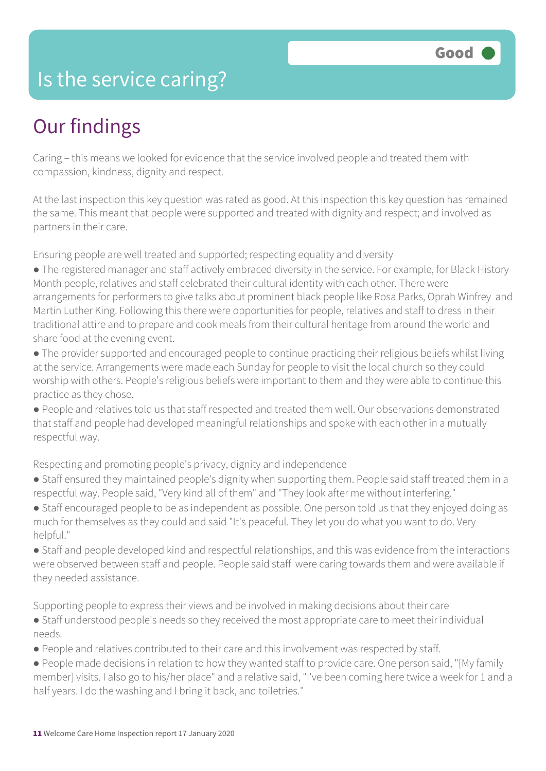### Is the service caring?

### Our findings

Caring – this means we looked for evidence that the service involved people and treated them with compassion, kindness, dignity and respect.

At the last inspection this key question was rated as good. At this inspection this key question has remained the same. This meant that people were supported and treated with dignity and respect; and involved as partners in their care.

Ensuring people are well treated and supported; respecting equality and diversity

- The registered manager and staff actively embraced diversity in the service. For example, for Black History Month people, relatives and staff celebrated their cultural identity with each other. There were arrangements for performers to give talks about prominent black people like Rosa Parks, Oprah Winfrey and Martin Luther King. Following this there were opportunities for people, relatives and staff to dress in their traditional attire and to prepare and cook meals from their cultural heritage from around the world and share food at the evening event.
- The provider supported and encouraged people to continue practicing their religious beliefs whilst living at the service. Arrangements were made each Sunday for people to visit the local church so they could worship with others. People's religious beliefs were important to them and they were able to continue this practice as they chose.
- People and relatives told us that staff respected and treated them well. Our observations demonstrated that staff and people had developed meaningful relationships and spoke with each other in a mutually respectful way.

Respecting and promoting people's privacy, dignity and independence

- Staff ensured they maintained people's dignity when supporting them. People said staff treated them in a respectful way. People said, "Very kind all of them" and "They look after me without interfering."
- Staff encouraged people to be as independent as possible. One person told us that they enjoyed doing as much for themselves as they could and said "It's peaceful. They let you do what you want to do. Very helpful."
- Staff and people developed kind and respectful relationships, and this was evidence from the interactions were observed between staff and people. People said staff were caring towards them and were available if they needed assistance.

Supporting people to express their views and be involved in making decisions about their care

- Staff understood people's needs so they received the most appropriate care to meet their individual needs.
- People and relatives contributed to their care and this involvement was respected by staff.
- People made decisions in relation to how they wanted staff to provide care. One person said, "[My family member] visits. I also go to his/her place" and a relative said, "I've been coming here twice a week for 1 and a half years. I do the washing and I bring it back, and toiletries."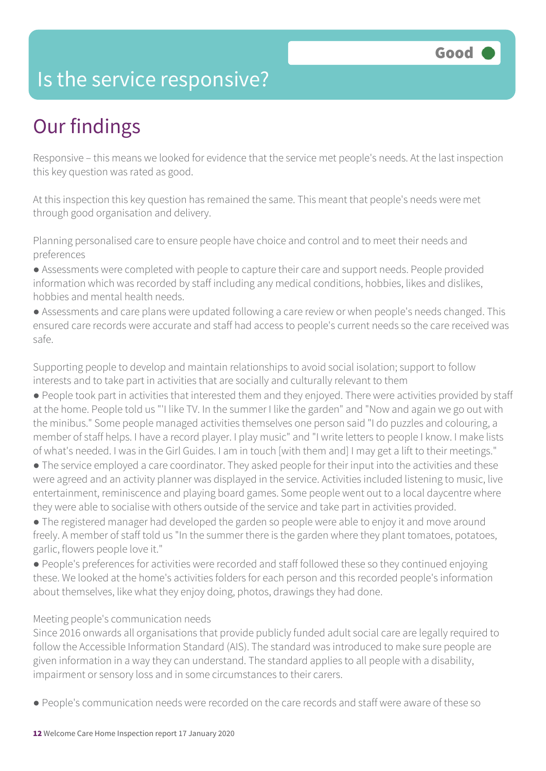### Is the service responsive?

## Our findings

Responsive – this means we looked for evidence that the service met people's needs. At the last inspection this key question was rated as good.

At this inspection this key question has remained the same. This meant that people's needs were met through good organisation and delivery.

Planning personalised care to ensure people have choice and control and to meet their needs and preferences

● Assessments were completed with people to capture their care and support needs. People provided information which was recorded by staff including any medical conditions, hobbies, likes and dislikes, hobbies and mental health needs.

● Assessments and care plans were updated following a care review or when people's needs changed. This ensured care records were accurate and staff had access to people's current needs so the care received was safe.

Supporting people to develop and maintain relationships to avoid social isolation; support to follow interests and to take part in activities that are socially and culturally relevant to them

● People took part in activities that interested them and they enjoyed. There were activities provided by staff at the home. People told us "'I like TV. In the summer I like the garden" and "Now and again we go out with the minibus." Some people managed activities themselves one person said "I do puzzles and colouring, a member of staff helps. I have a record player. I play music" and "I write letters to people I know. I make lists of what's needed. I was in the Girl Guides. I am in touch [with them and] I may get a lift to their meetings."

• The service employed a care coordinator. They asked people for their input into the activities and these were agreed and an activity planner was displayed in the service. Activities included listening to music, live entertainment, reminiscence and playing board games. Some people went out to a local daycentre where they were able to socialise with others outside of the service and take part in activities provided.

● The registered manager had developed the garden so people were able to enjoy it and move around freely. A member of staff told us "In the summer there is the garden where they plant tomatoes, potatoes, garlic, flowers people love it."

● People's preferences for activities were recorded and staff followed these so they continued enjoying these. We looked at the home's activities folders for each person and this recorded people's information about themselves, like what they enjoy doing, photos, drawings they had done.

#### Meeting people's communication needs

Since 2016 onwards all organisations that provide publicly funded adult social care are legally required to follow the Accessible Information Standard (AIS). The standard was introduced to make sure people are given information in a way they can understand. The standard applies to all people with a disability, impairment or sensory loss and in some circumstances to their carers.

● People's communication needs were recorded on the care records and staff were aware of these so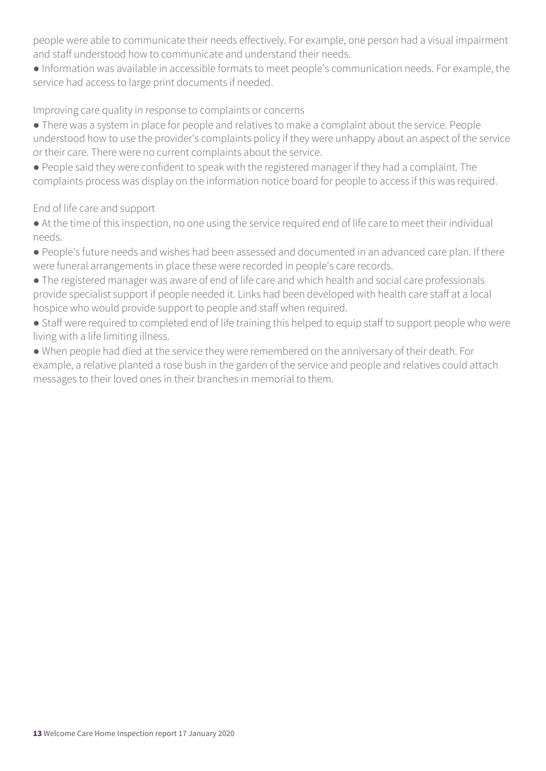people were able to communicate their needs effectively. For example, one person had a visual impairment and staff understood how to communicate and understand their needs.

● Information was available in accessible formats to meet people's communication needs. For example, the service had access to large print documents if needed.

#### Improving care quality in response to complaints or concerns

- There was a system in place for people and relatives to make a complaint about the service. People understood how to use the provider's complaints policy if they were unhappy about an aspect of the service or their care. There were no current complaints about the service.
- People said they were confident to speak with the registered manager if they had a complaint. The complaints process was display on the information notice board for people to access if this was required.

#### End of life care and support

- At the time of this inspection, no one using the service required end of life care to meet their individual needs.
- People's future needs and wishes had been assessed and documented in an advanced care plan. If there were funeral arrangements in place these were recorded in people's care records.
- The registered manager was aware of end of life care and which health and social care professionals provide specialist support if people needed it. Links had been developed with health care staff at a local hospice who would provide support to people and staff when required.
- Staff were required to completed end of life training this helped to equip staff to support people who were living with a life limiting illness.
- When people had died at the service they were remembered on the anniversary of their death. For example, a relative planted a rose bush in the garden of the service and people and relatives could attach messages to their loved ones in their branches in memorial to them.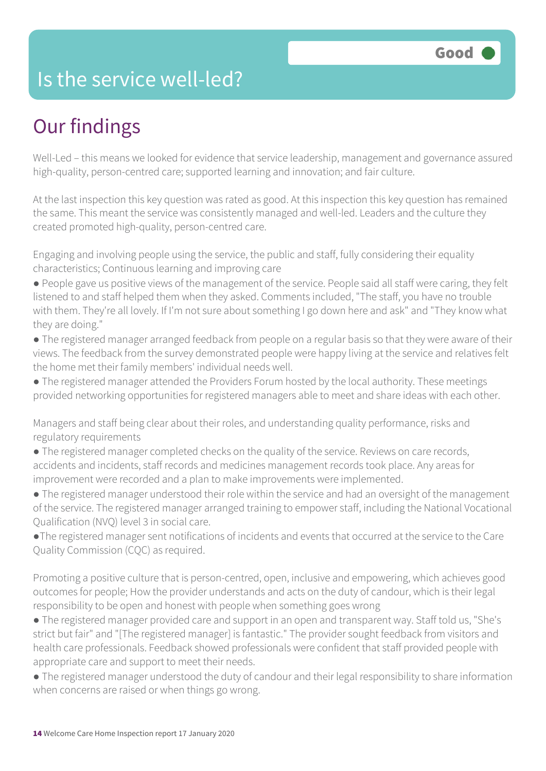### Is the service well-led?

## Our findings

Well-Led – this means we looked for evidence that service leadership, management and governance assured high-quality, person-centred care; supported learning and innovation; and fair culture.

At the last inspection this key question was rated as good. At this inspection this key question has remained the same. This meant the service was consistently managed and well-led. Leaders and the culture they created promoted high-quality, person-centred care.

Engaging and involving people using the service, the public and staff, fully considering their equality characteristics; Continuous learning and improving care

- People gave us positive views of the management of the service. People said all staff were caring, they felt listened to and staff helped them when they asked. Comments included, "The staff, you have no trouble with them. They're all lovely. If I'm not sure about something I go down here and ask" and "They know what they are doing."
- The registered manager arranged feedback from people on a regular basis so that they were aware of their views. The feedback from the survey demonstrated people were happy living at the service and relatives felt the home met their family members' individual needs well.
- The registered manager attended the Providers Forum hosted by the local authority. These meetings provided networking opportunities for registered managers able to meet and share ideas with each other.

Managers and staff being clear about their roles, and understanding quality performance, risks and regulatory requirements

- The registered manager completed checks on the quality of the service. Reviews on care records, accidents and incidents, staff records and medicines management records took place. Any areas for improvement were recorded and a plan to make improvements were implemented.
- The registered manager understood their role within the service and had an oversight of the management of the service. The registered manager arranged training to empower staff, including the National Vocational Qualification (NVQ) level 3 in social care.
- ●The registered manager sent notifications of incidents and events that occurred at the service to the Care Quality Commission (CQC) as required.

Promoting a positive culture that is person-centred, open, inclusive and empowering, which achieves good outcomes for people; How the provider understands and acts on the duty of candour, which is their legal responsibility to be open and honest with people when something goes wrong

- The registered manager provided care and support in an open and transparent way. Staff told us, "She's strict but fair" and "[The registered manager] is fantastic." The provider sought feedback from visitors and health care professionals. Feedback showed professionals were confident that staff provided people with appropriate care and support to meet their needs.
- The registered manager understood the duty of candour and their legal responsibility to share information when concerns are raised or when things go wrong.